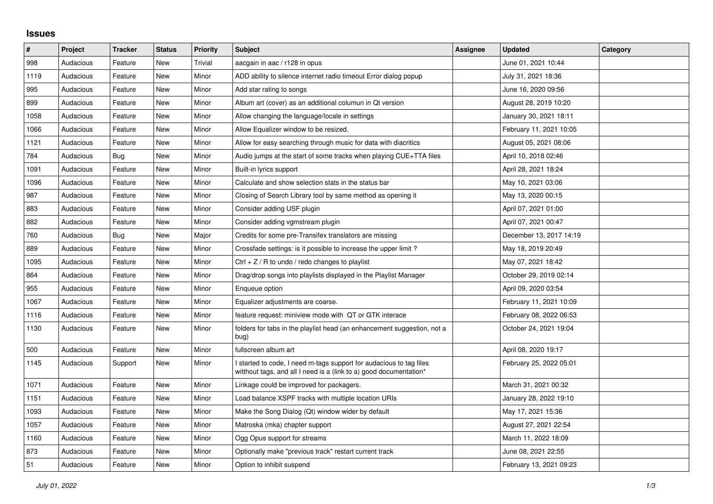## **Issues**

| $\sharp$ | Project   | <b>Tracker</b> | <b>Status</b> | <b>Priority</b> | <b>Subject</b>                                                                                                                          | Assignee | <b>Updated</b>          | Category |
|----------|-----------|----------------|---------------|-----------------|-----------------------------------------------------------------------------------------------------------------------------------------|----------|-------------------------|----------|
| 998      | Audacious | Feature        | <b>New</b>    | Trivial         | aacgain in aac / r128 in opus                                                                                                           |          | June 01, 2021 10:44     |          |
| 1119     | Audacious | Feature        | <b>New</b>    | Minor           | ADD ability to silence internet radio timeout Error dialog popup                                                                        |          | July 31, 2021 18:36     |          |
| 995      | Audacious | Feature        | <b>New</b>    | Minor           | Add star rating to songs                                                                                                                |          | June 16, 2020 09:56     |          |
| 899      | Audacious | Feature        | <b>New</b>    | Minor           | Album art (cover) as an additional columun in Qt version                                                                                |          | August 28, 2019 10:20   |          |
| 1058     | Audacious | Feature        | <b>New</b>    | Minor           | Allow changing the language/locale in settings                                                                                          |          | January 30, 2021 18:11  |          |
| 1066     | Audacious | Feature        | <b>New</b>    | Minor           | Allow Equalizer window to be resized.                                                                                                   |          | February 11, 2021 10:05 |          |
| 1121     | Audacious | Feature        | <b>New</b>    | Minor           | Allow for easy searching through music for data with diacritics                                                                         |          | August 05, 2021 08:06   |          |
| 784      | Audacious | Bug            | <b>New</b>    | Minor           | Audio jumps at the start of some tracks when playing CUE+TTA files                                                                      |          | April 10, 2018 02:46    |          |
| 1091     | Audacious | Feature        | <b>New</b>    | Minor           | Built-in lyrics support                                                                                                                 |          | April 28, 2021 18:24    |          |
| 1096     | Audacious | Feature        | <b>New</b>    | Minor           | Calculate and show selection stats in the status bar                                                                                    |          | May 10, 2021 03:06      |          |
| 987      | Audacious | Feature        | <b>New</b>    | Minor           | Closing of Search Library tool by same method as opening it                                                                             |          | May 13, 2020 00:15      |          |
| 883      | Audacious | Feature        | New           | Minor           | Consider adding USF plugin                                                                                                              |          | April 07, 2021 01:00    |          |
| 882      | Audacious | Feature        | <b>New</b>    | Minor           | Consider adding vgmstream plugin                                                                                                        |          | April 07, 2021 00:47    |          |
| 760      | Audacious | Bug            | New           | Major           | Credits for some pre-Transifex translators are missing                                                                                  |          | December 13, 2017 14:19 |          |
| 889      | Audacious | Feature        | <b>New</b>    | Minor           | Crossfade settings: is it possible to increase the upper limit?                                                                         |          | May 18, 2019 20:49      |          |
| 1095     | Audacious | Feature        | <b>New</b>    | Minor           | Ctrl $+$ Z / R to undo / redo changes to playlist                                                                                       |          | May 07, 2021 18:42      |          |
| 864      | Audacious | Feature        | <b>New</b>    | Minor           | Drag/drop songs into playlists displayed in the Playlist Manager                                                                        |          | October 29, 2019 02:14  |          |
| 955      | Audacious | Feature        | New           | Minor           | Enqueue option                                                                                                                          |          | April 09, 2020 03:54    |          |
| 1067     | Audacious | Feature        | New           | Minor           | Equalizer adjustments are coarse.                                                                                                       |          | February 11, 2021 10:09 |          |
| 1116     | Audacious | Feature        | <b>New</b>    | Minor           | feature request: miniview mode with QT or GTK interace                                                                                  |          | February 08, 2022 06:53 |          |
| 1130     | Audacious | Feature        | <b>New</b>    | Minor           | folders for tabs in the playlist head (an enhancement suggestion, not a<br>bug)                                                         |          | October 24, 2021 19:04  |          |
| 500      | Audacious | Feature        | <b>New</b>    | Minor           | fullscreen album art                                                                                                                    |          | April 08, 2020 19:17    |          |
| 1145     | Audacious | Support        | <b>New</b>    | Minor           | started to code, I need m-tags support for audacious to tag files<br>witthout tags, and all I need is a (link to a) good documentation* |          | February 25, 2022 05:01 |          |
| 1071     | Audacious | Feature        | <b>New</b>    | Minor           | Linkage could be improved for packagers.                                                                                                |          | March 31, 2021 00:32    |          |
| 1151     | Audacious | Feature        | <b>New</b>    | Minor           | Load balance XSPF tracks with multiple location URIs                                                                                    |          | January 28, 2022 19:10  |          |
| 1093     | Audacious | Feature        | <b>New</b>    | Minor           | Make the Song Dialog (Qt) window wider by default                                                                                       |          | May 17, 2021 15:36      |          |
| 1057     | Audacious | Feature        | <b>New</b>    | Minor           | Matroska (mka) chapter support                                                                                                          |          | August 27, 2021 22:54   |          |
| 1160     | Audacious | Feature        | New           | Minor           | Ogg Opus support for streams                                                                                                            |          | March 11, 2022 18:09    |          |
| 873      | Audacious | Feature        | <b>New</b>    | Minor           | Optionally make "previous track" restart current track                                                                                  |          | June 08, 2021 22:55     |          |
| 51       | Audacious | Feature        | <b>New</b>    | Minor           | Option to inhibit suspend                                                                                                               |          | February 13, 2021 09:23 |          |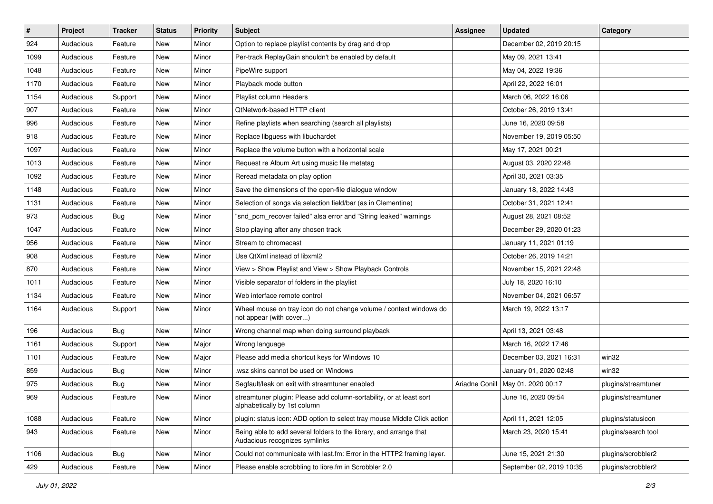| $\vert$ # | Project   | <b>Tracker</b> | <b>Status</b> | <b>Priority</b> | <b>Subject</b>                                                                                      | <b>Assignee</b> | <b>Updated</b>           | Category            |
|-----------|-----------|----------------|---------------|-----------------|-----------------------------------------------------------------------------------------------------|-----------------|--------------------------|---------------------|
| 924       | Audacious | Feature        | New           | Minor           | Option to replace playlist contents by drag and drop                                                |                 | December 02, 2019 20:15  |                     |
| 1099      | Audacious | Feature        | New           | Minor           | Per-track ReplayGain shouldn't be enabled by default                                                |                 | May 09, 2021 13:41       |                     |
| 1048      | Audacious | Feature        | New           | Minor           | PipeWire support                                                                                    |                 | May 04, 2022 19:36       |                     |
| 1170      | Audacious | Feature        | New           | Minor           | Playback mode button                                                                                |                 | April 22, 2022 16:01     |                     |
| 1154      | Audacious | Support        | New           | Minor           | Playlist column Headers                                                                             |                 | March 06, 2022 16:06     |                     |
| 907       | Audacious | Feature        | New           | Minor           | QtNetwork-based HTTP client                                                                         |                 | October 26, 2019 13:41   |                     |
| 996       | Audacious | Feature        | New           | Minor           | Refine playlists when searching (search all playlists)                                              |                 | June 16, 2020 09:58      |                     |
| 918       | Audacious | Feature        | New           | Minor           | Replace libguess with libuchardet                                                                   |                 | November 19, 2019 05:50  |                     |
| 1097      | Audacious | Feature        | New           | Minor           | Replace the volume button with a horizontal scale                                                   |                 | May 17, 2021 00:21       |                     |
| 1013      | Audacious | Feature        | New           | Minor           | Request re Album Art using music file metatag                                                       |                 | August 03, 2020 22:48    |                     |
| 1092      | Audacious | Feature        | New           | Minor           | Reread metadata on play option                                                                      |                 | April 30, 2021 03:35     |                     |
| 1148      | Audacious | Feature        | New           | Minor           | Save the dimensions of the open-file dialogue window                                                |                 | January 18, 2022 14:43   |                     |
| 1131      | Audacious | Feature        | New           | Minor           | Selection of songs via selection field/bar (as in Clementine)                                       |                 | October 31, 2021 12:41   |                     |
| 973       | Audacious | <b>Bug</b>     | New           | Minor           | "snd_pcm_recover failed" alsa error and "String leaked" warnings                                    |                 | August 28, 2021 08:52    |                     |
| 1047      | Audacious | Feature        | New           | Minor           | Stop playing after any chosen track                                                                 |                 | December 29, 2020 01:23  |                     |
| 956       | Audacious | Feature        | New           | Minor           | Stream to chromecast                                                                                |                 | January 11, 2021 01:19   |                     |
| 908       | Audacious | Feature        | New           | Minor           | Use QtXml instead of libxml2                                                                        |                 | October 26, 2019 14:21   |                     |
| 870       | Audacious | Feature        | New           | Minor           | View > Show Playlist and View > Show Playback Controls                                              |                 | November 15, 2021 22:48  |                     |
| 1011      | Audacious | Feature        | New           | Minor           | Visible separator of folders in the playlist                                                        |                 | July 18, 2020 16:10      |                     |
| 1134      | Audacious | Feature        | New           | Minor           | Web interface remote control                                                                        |                 | November 04, 2021 06:57  |                     |
| 1164      | Audacious | Support        | New           | Minor           | Wheel mouse on tray icon do not change volume / context windows do<br>not appear (with cover)       |                 | March 19, 2022 13:17     |                     |
| 196       | Audacious | <b>Bug</b>     | New           | Minor           | Wrong channel map when doing surround playback                                                      |                 | April 13, 2021 03:48     |                     |
| 1161      | Audacious | Support        | New           | Major           | Wrong language                                                                                      |                 | March 16, 2022 17:46     |                     |
| 1101      | Audacious | Feature        | New           | Major           | Please add media shortcut keys for Windows 10                                                       |                 | December 03, 2021 16:31  | win32               |
| 859       | Audacious | <b>Bug</b>     | New           | Minor           | wsz skins cannot be used on Windows                                                                 |                 | January 01, 2020 02:48   | win32               |
| 975       | Audacious | <b>Bug</b>     | New           | Minor           | Segfault/leak on exit with streamtuner enabled                                                      | Ariadne Conill  | May 01, 2020 00:17       | plugins/streamtuner |
| 969       | Audacious | Feature        | New           | Minor           | streamtuner plugin: Please add column-sortability, or at least sort<br>alphabetically by 1st column |                 | June 16, 2020 09:54      | plugins/streamtuner |
| 1088      | Audacious | Feature        | New           | Minor           | plugin: status icon: ADD option to select tray mouse Middle Click action                            |                 | April 11, 2021 12:05     | plugins/statusicon  |
| 943       | Audacious | Feature        | New           | Minor           | Being able to add several folders to the library, and arrange that<br>Audacious recognizes symlinks |                 | March 23, 2020 15:41     | plugins/search tool |
| 1106      | Audacious | <b>Bug</b>     | New           | Minor           | Could not communicate with last.fm: Error in the HTTP2 framing layer.                               |                 | June 15, 2021 21:30      | plugins/scrobbler2  |
| 429       | Audacious | Feature        | New           | Minor           | Please enable scrobbling to libre.fm in Scrobbler 2.0                                               |                 | September 02, 2019 10:35 | plugins/scrobbler2  |